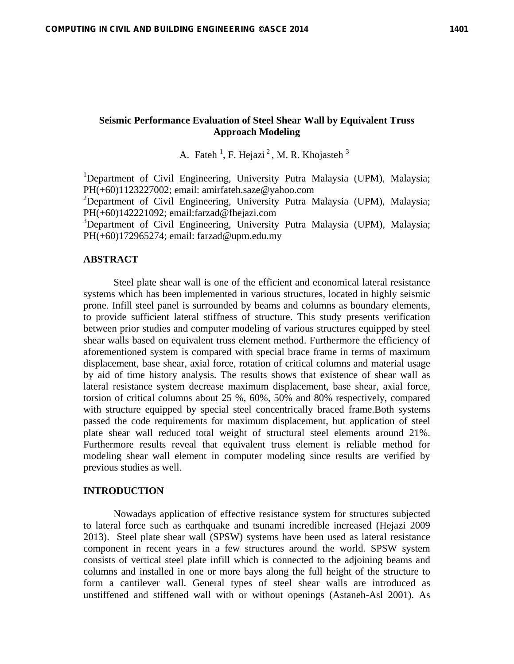# **Seismic Performance Evaluation of Steel Shear Wall by Equivalent Truss Approach Modeling**

A. Fateh<sup>1</sup>, F. Hejazi<sup>2</sup>, M. R. Khojasteh<sup>3</sup>

<sup>1</sup>Department of Civil Engineering, University Putra Malaysia (UPM), Malaysia; PH(+60)1123227002; email: amirfateh.saze@yahoo.com

<sup>2</sup>Department of Civil Engineering, University Putra Malaysia (UPM), Malaysia; PH(+60)142221092; email:farzad@fhejazi.com

<sup>3</sup>Department of Civil Engineering, University Putra Malaysia (UPM), Malaysia; PH(+60)172965274; email: farzad@upm.edu.my

## **ABSTRACT**

Steel plate shear wall is one of the efficient and economical lateral resistance systems which has been implemented in various structures, located in highly seismic prone. Infill steel panel is surrounded by beams and columns as boundary elements, to provide sufficient lateral stiffness of structure. This study presents verification between prior studies and computer modeling of various structures equipped by steel shear walls based on equivalent truss element method. Furthermore the efficiency of aforementioned system is compared with special brace frame in terms of maximum displacement, base shear, axial force, rotation of critical columns and material usage by aid of time history analysis. The results shows that existence of shear wall as lateral resistance system decrease maximum displacement, base shear, axial force, torsion of critical columns about 25 %, 60%, 50% and 80% respectively, compared with structure equipped by special steel concentrically braced frame.Both systems passed the code requirements for maximum displacement, but application of steel plate shear wall reduced total weight of structural steel elements around 21%. Furthermore results reveal that equivalent truss element is reliable method for modeling shear wall element in computer modeling since results are verified by previous studies as well.

## **INTRODUCTION**

Nowadays application of effective resistance system for structures subjected to lateral force such as earthquake and tsunami incredible increased (Hejazi 2009 2013). Steel plate shear wall (SPSW) systems have been used as lateral resistance component in recent years in a few structures around the world. SPSW system consists of vertical steel plate infill which is connected to the adjoining beams and columns and installed in one or more bays along the full height of the structure to form a cantilever wall. General types of steel shear walls are introduced as unstiffened and stiffened wall with or without openings (Astaneh-Asl 2001). As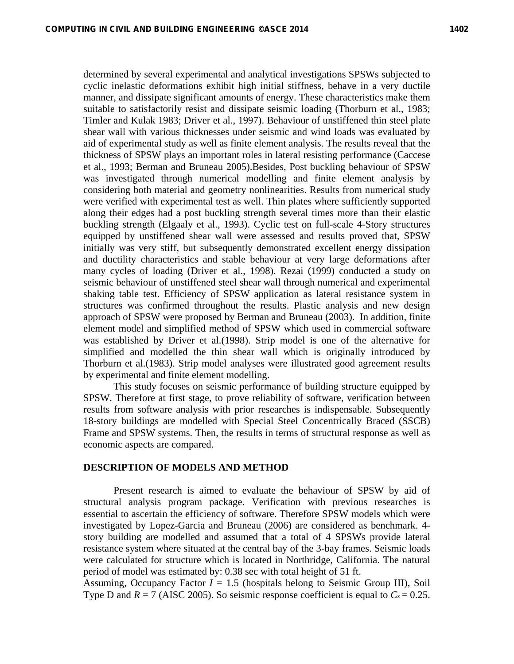determined by several experimental and analytical investigations SPSWs subjected to cyclic inelastic deformations exhibit high initial stiffness, behave in a very ductile manner, and dissipate significant amounts of energy. These characteristics make them suitable to satisfactorily resist and dissipate seismic loading (Thorburn et al., 1983; Timler and Kulak 1983; Driver et al., 1997). Behaviour of unstiffened thin steel plate shear wall with various thicknesses under seismic and wind loads was evaluated by aid of experimental study as well as finite element analysis. The results reveal that the thickness of SPSW plays an important roles in lateral resisting performance (Caccese et al., 1993; Berman and Bruneau 2005).Besides, Post buckling behaviour of SPSW was investigated through numerical modelling and finite element analysis by considering both material and geometry nonlinearities. Results from numerical study were verified with experimental test as well. Thin plates where sufficiently supported along their edges had a post buckling strength several times more than their elastic buckling strength (Elgaaly et al., 1993). Cyclic test on full-scale 4-Story structures equipped by unstiffened shear wall were assessed and results proved that, SPSW initially was very stiff, but subsequently demonstrated excellent energy dissipation and ductility characteristics and stable behaviour at very large deformations after many cycles of loading (Driver et al., 1998). Rezai (1999) conducted a study on seismic behaviour of unstiffened steel shear wall through numerical and experimental shaking table test. Efficiency of SPSW application as lateral resistance system in structures was confirmed throughout the results. Plastic analysis and new design approach of SPSW were proposed by Berman and Bruneau (2003). In addition, finite element model and simplified method of SPSW which used in commercial software was established by Driver et al.(1998). Strip model is one of the alternative for simplified and modelled the thin shear wall which is originally introduced by Thorburn et al.(1983). Strip model analyses were illustrated good agreement results by experimental and finite element modelling.

This study focuses on seismic performance of building structure equipped by SPSW. Therefore at first stage, to prove reliability of software, verification between results from software analysis with prior researches is indispensable. Subsequently 18-story buildings are modelled with Special Steel Concentrically Braced (SSCB) Frame and SPSW systems. Then, the results in terms of structural response as well as economic aspects are compared.

## **DESCRIPTION OF MODELS AND METHOD**

Present research is aimed to evaluate the behaviour of SPSW by aid of structural analysis program package. Verification with previous researches is essential to ascertain the efficiency of software. Therefore SPSW models which were investigated by Lopez-Garcia and Bruneau (2006) are considered as benchmark. 4 story building are modelled and assumed that a total of 4 SPSWs provide lateral resistance system where situated at the central bay of the 3-bay frames. Seismic loads were calculated for structure which is located in Northridge, California. The natural period of model was estimated by: 0.38 sec with total height of 51 ft.

Assuming, Occupancy Factor  $I = 1.5$  (hospitals belong to Seismic Group III), Soil Type D and  $R = 7$  (AISC 2005). So seismic response coefficient is equal to  $C_s = 0.25$ .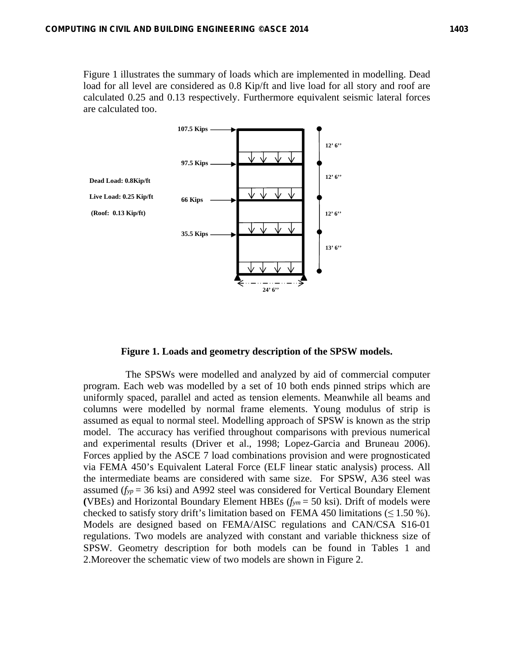Figure 1 illustrates the summary of loads which are implemented in modelling. Dead load for all level are considered as 0.8 Kip/ft and live load for all story and roof are calculated 0.25 and 0.13 respectively. Furthermore equivalent seismic lateral forces are calculated too.



#### **Figure 1. Loads and geometry description of the SPSW models.**

 The SPSWs were modelled and analyzed by aid of commercial computer program. Each web was modelled by a set of 10 both ends pinned strips which are uniformly spaced, parallel and acted as tension elements. Meanwhile all beams and columns were modelled by normal frame elements. Young modulus of strip is assumed as equal to normal steel. Modelling approach of SPSW is known as the strip model. The accuracy has verified throughout comparisons with previous numerical and experimental results (Driver et al., 1998; Lopez-Garcia and Bruneau 2006). Forces applied by the ASCE 7 load combinations provision and were prognosticated via FEMA 450's Equivalent Lateral Force (ELF linear static analysis) process. All the intermediate beams are considered with same size. For SPSW, A36 steel was assumed  $(f_{yp} = 36$  ksi) and A992 steel was considered for Vertical Boundary Element **(**VBEs) and Horizontal Boundary Element HBEs (*fym* = 50 ksi). Drift of models were checked to satisfy story drift's limitation based on FEMA 450 limitations  $(\leq 1.50\%)$ . Models are designed based on FEMA/AISC regulations and CAN/CSA S16-01 regulations. Two models are analyzed with constant and variable thickness size of SPSW. Geometry description for both models can be found in Tables 1 and 2.Moreover the schematic view of two models are shown in Figure 2.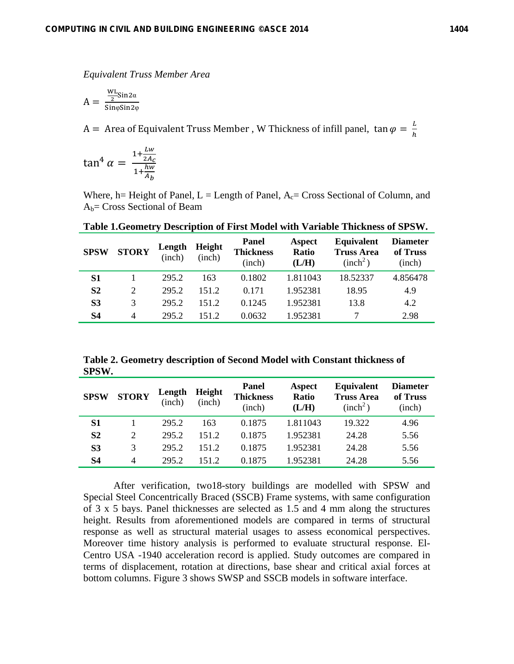*Equivalent Truss Member Area* 

$$
A = \frac{\frac{WL}{2} \sin 2\alpha}{\sin \varphi \sin 2\varphi}
$$

A = Area of Equivalent Truss Member , W Thickness of infill panel,  $\tan \varphi = \frac{L}{h}$ 

$$
\tan^4 \alpha = \frac{1 + \frac{Lw}{2A_C}}{1 + \frac{hw}{A_b}}
$$

Where, h= Height of Panel, L = Length of Panel,  $A_c$  = Cross Sectional of Column, and  $A_b$ = Cross Sectional of Beam

| <b>SPSW</b>    | <b>STORY</b> | Length<br>(inch) | <b>Height</b><br>(inch) | <b>Panel</b><br><b>Thickness</b><br>(inch) | Aspect<br><b>Ratio</b><br>(L/H) | <b>Equivalent</b><br><b>Truss Area</b><br>(inch <sup>2</sup> ) | <b>Diameter</b><br>of Truss<br>(inch) |
|----------------|--------------|------------------|-------------------------|--------------------------------------------|---------------------------------|----------------------------------------------------------------|---------------------------------------|
| S <sub>1</sub> |              | 295.2            | 163                     | 0.1802                                     | 1.811043                        | 18.52337                                                       | 4.856478                              |
| S <sub>2</sub> | 2            | 295.2            | 1512                    | 0.171                                      | 1.952381                        | 18.95                                                          | 4.9                                   |
| S3             | 3            | 295.2            | 1512                    | 0.1245                                     | 1.952381                        | 13.8                                                           | 4.2                                   |
| S4             | 4            | 295.2            | 151.2                   | 0.0632                                     | 1.952381                        |                                                                | 2.98                                  |

**Table 1.Geometry Description of First Model with Variable Thickness of SPSW.** 

**Table 2. Geometry description of Second Model with Constant thickness of SPSW.** 

| <b>SPSW</b>    | <b>STORY</b>   | Length<br>(inch) | <b>Height</b><br>(inch) | Panel<br><b>Thickness</b><br>(inch) | Aspect<br><b>Ratio</b><br>(L/H) | <b>Equivalent</b><br><b>Truss Area</b><br>(inch <sup>2</sup> ) | <b>Diameter</b><br>of Truss<br>(inch) |
|----------------|----------------|------------------|-------------------------|-------------------------------------|---------------------------------|----------------------------------------------------------------|---------------------------------------|
| S1             |                | 295.2            | 163                     | 0.1875                              | 1.811043                        | 19.322                                                         | 4.96                                  |
| S <sub>2</sub> | $\overline{2}$ | 295.2            | 151.2                   | 0.1875                              | 1.952381                        | 24.28                                                          | 5.56                                  |
| S <sub>3</sub> | 3              | 295.2            | 1512                    | 0.1875                              | 1.952381                        | 24.28                                                          | 5.56                                  |
| S4             | $\overline{4}$ | 295.2            | 1512                    | 0.1875                              | 1.952381                        | 24.28                                                          | 5.56                                  |

After verification, two18-story buildings are modelled with SPSW and Special Steel Concentrically Braced (SSCB) Frame systems, with same configuration of 3 x 5 bays. Panel thicknesses are selected as 1.5 and 4 mm along the structures height. Results from aforementioned models are compared in terms of structural response as well as structural material usages to assess economical perspectives. Moreover time history analysis is performed to evaluate structural response. El-Centro USA -1940 acceleration record is applied. Study outcomes are compared in terms of displacement, rotation at directions, base shear and critical axial forces at bottom columns. Figure 3 shows SWSP and SSCB models in software interface.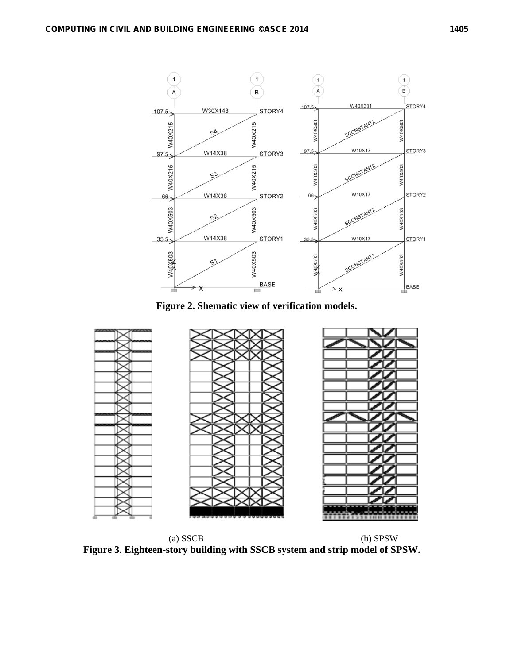

**Figure 2. Shematic view of verification models.** 



 (a) SSCB (b) SPSW **Figure 3. Eighteen-story building with SSCB system and strip model of SPSW.**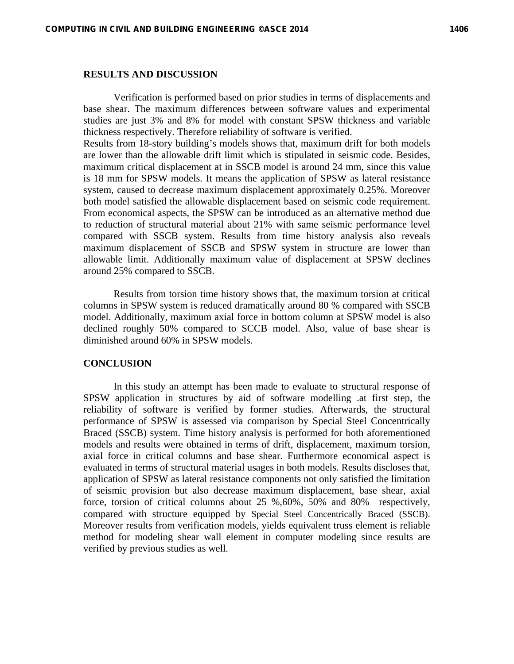### **RESULTS AND DISCUSSION**

Verification is performed based on prior studies in terms of displacements and base shear. The maximum differences between software values and experimental studies are just 3% and 8% for model with constant SPSW thickness and variable thickness respectively. Therefore reliability of software is verified.

Results from 18-story building's models shows that, maximum drift for both models are lower than the allowable drift limit which is stipulated in seismic code. Besides, maximum critical displacement at in SSCB model is around 24 mm, since this value is 18 mm for SPSW models. It means the application of SPSW as lateral resistance system, caused to decrease maximum displacement approximately 0.25%. Moreover both model satisfied the allowable displacement based on seismic code requirement. From economical aspects, the SPSW can be introduced as an alternative method due to reduction of structural material about 21% with same seismic performance level compared with SSCB system. Results from time history analysis also reveals maximum displacement of SSCB and SPSW system in structure are lower than allowable limit. Additionally maximum value of displacement at SPSW declines around 25% compared to SSCB.

Results from torsion time history shows that, the maximum torsion at critical columns in SPSW system is reduced dramatically around 80 % compared with SSCB model. Additionally, maximum axial force in bottom column at SPSW model is also declined roughly 50% compared to SCCB model. Also, value of base shear is diminished around 60% in SPSW models.

#### **CONCLUSION**

In this study an attempt has been made to evaluate to structural response of SPSW application in structures by aid of software modelling .at first step, the reliability of software is verified by former studies. Afterwards, the structural performance of SPSW is assessed via comparison by Special Steel Concentrically Braced (SSCB) system. Time history analysis is performed for both aforementioned models and results were obtained in terms of drift, displacement, maximum torsion, axial force in critical columns and base shear. Furthermore economical aspect is evaluated in terms of structural material usages in both models. Results discloses that, application of SPSW as lateral resistance components not only satisfied the limitation of seismic provision but also decrease maximum displacement, base shear, axial force, torsion of critical columns about 25 %,60%, 50% and 80% respectively, compared with structure equipped by Special Steel Concentrically Braced (SSCB). Moreover results from verification models, yields equivalent truss element is reliable method for modeling shear wall element in computer modeling since results are verified by previous studies as well.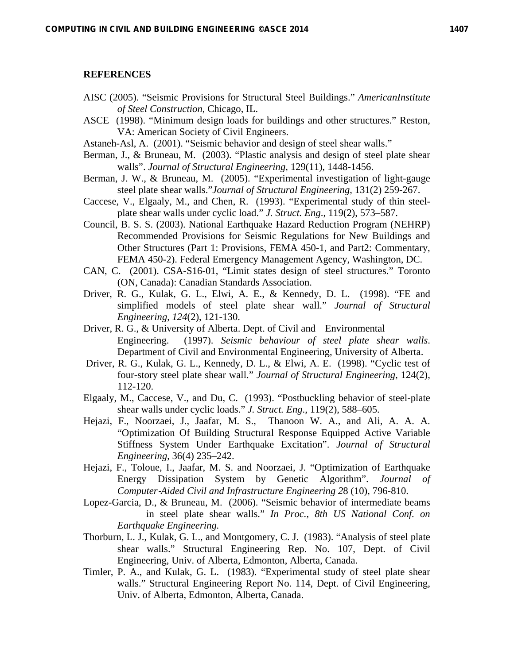## **REFERENCES**

- AISC (2005). "Seismic Provisions for Structural Steel Buildings." *AmericanInstitute of Steel Construction*, Chicago, IL.
- ASCE (1998). "Minimum design loads for buildings and other structures." Reston, VA: American Society of Civil Engineers.
- Astaneh-Asl, A. (2001). "Seismic behavior and design of steel shear walls."
- Berman, J., & Bruneau, M. (2003). "Plastic analysis and design of steel plate shear walls". *Journal of Structural Engineering*, 129(11), 1448-1456.
- Berman, J. W., & Bruneau, M. (2005). "Experimental investigation of light-gauge steel plate shear walls."*Journal of Structural Engineering*, 131(2) 259-267.
- Caccese, V., Elgaaly, M., and Chen, R. (1993). "Experimental study of thin steelplate shear walls under cyclic load." *J. Struct. Eng*., 119(2), 573–587.
- Council, B. S. S. (2003). National Earthquake Hazard Reduction Program (NEHRP) Recommended Provisions for Seismic Regulations for New Buildings and Other Structures (Part 1: Provisions, FEMA 450-1, and Part2: Commentary, FEMA 450-2). Federal Emergency Management Agency, Washington, DC.
- CAN, C. (2001). CSA-S16-01, "Limit states design of steel structures." Toronto (ON, Canada): Canadian Standards Association.
- Driver, R. G., Kulak, G. L., Elwi, A. E., & Kennedy, D. L. (1998). "FE and simplified models of steel plate shear wall." *Journal of Structural Engineering*, *124*(2), 121-130.
- Driver, R. G., & University of Alberta. Dept. of Civil and Environmental Engineering. (1997). *Seismic behaviour of steel plate shear walls*. Department of Civil and Environmental Engineering, University of Alberta.
- Driver, R. G., Kulak, G. L., Kennedy, D. L., & Elwi, A. E. (1998). "Cyclic test of four-story steel plate shear wall." *Journal of Structural Engineering*, 124(2), 112-120.
- Elgaaly, M., Caccese, V., and Du, C. (1993). "Postbuckling behavior of steel-plate shear walls under cyclic loads." *J. Struct. Eng*., 119(2), 588–605.
- Hejazi, F., Noorzaei, J., Jaafar, M. S., Thanoon W. A., and Ali, A. A. A. "Optimization Of Building Structural Response Equipped Active Variable Stiffness System Under Earthquake Excitation". *Journal of Structural Engineering*, 36(4) 235–242.
- Hejazi, F., Toloue, I., Jaafar, M. S. and Noorzaei, J. "Optimization of Earthquake Energy Dissipation System by Genetic Algorithm". *Journal of Computer*‐*Aided Civil and Infrastructure Engineering 2*8 (10), 796-810.
- Lopez-Garcia, D., & Bruneau, M. (2006). "Seismic behavior of intermediate beams in steel plate shear walls." *In Proc., 8th US National Conf. on Earthquake Engineering.*
- Thorburn, L. J., Kulak, G. L., and Montgomery, C. J. (1983). "Analysis of steel plate shear walls." Structural Engineering Rep. No. 107, Dept. of Civil Engineering, Univ. of Alberta, Edmonton, Alberta, Canada.
- Timler, P. A., and Kulak, G. L. (1983). "Experimental study of steel plate shear walls." Structural Engineering Report No. 114, Dept. of Civil Engineering, Univ. of Alberta, Edmonton, Alberta, Canada.